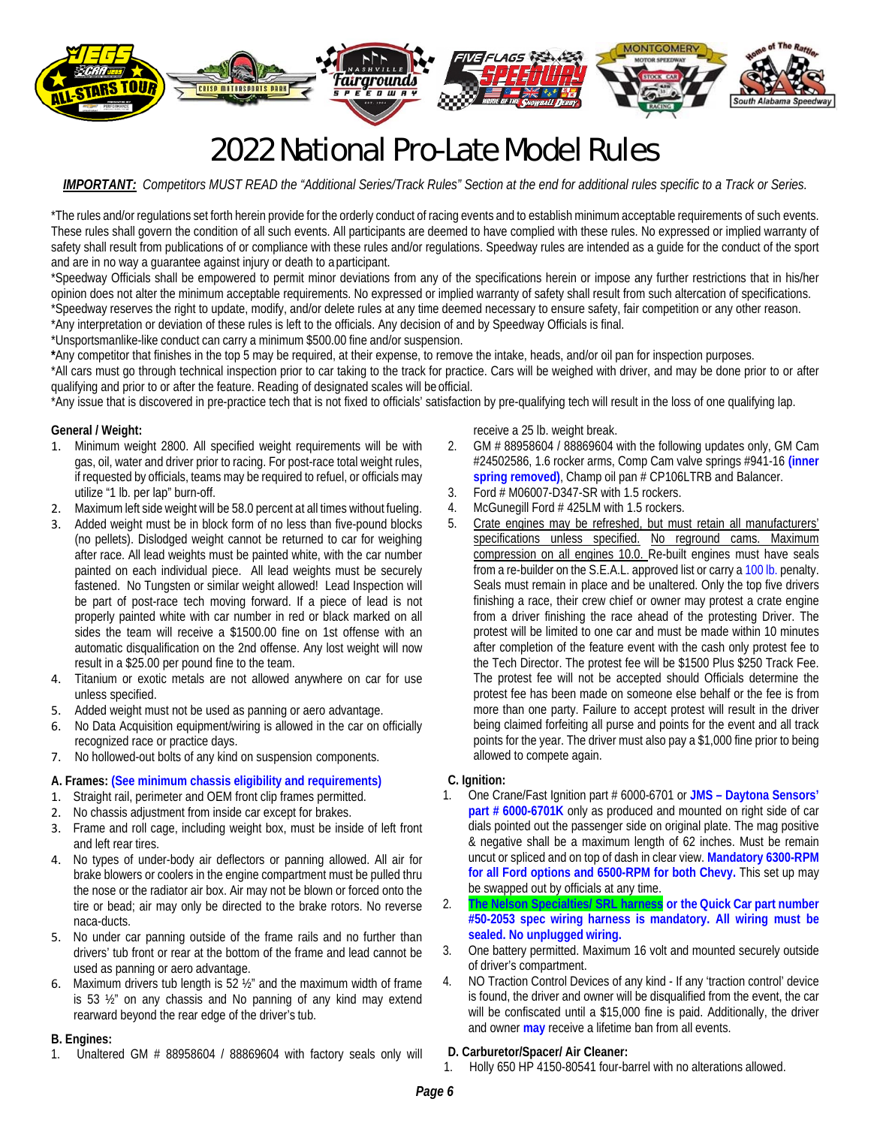

# 2022 National Pro-Late Model Rules

*IMPORTANT: Competitors MUST READ the "Additional Series/Track Rules" Section at the end for additional rules specific to a Track or Series.* 

\*The rules and/or regulations set forth herein provide for the orderly conduct of racing events and to establish minimum acceptable requirements of such events. These rules shall govern the condition of all such events. All participants are deemed to have complied with these rules. No expressed or implied warranty of safety shall result from publications of or compliance with these rules and/or regulations. Speedway rules are intended as a guide for the conduct of the sport and are in no way a guarantee against injury or death to a participant.

\*Speedway Officials shall be empowered to permit minor deviations from any of the specifications herein or impose any further restrictions that in his/her opinion does not alter the minimum acceptable requirements. No expressed or implied warranty of safety shall result from such altercation of specifications. \*Speedway reserves the right to update, modify, and/or delete rules at any time deemed necessary to ensure safety, fair competition or any other reason. \*Any interpretation or deviation of these rules is left to the officials. Any decision of and by Speedway Officials is final.

\*Unsportsmanlike-like conduct can carry a minimum \$500.00 fine and/or suspension.

**\***Any competitor that finishes in the top 5 may be required, at their expense, to remove the intake, heads, and/or oil pan for inspection purposes.

\*All cars must go through technical inspection prior to car taking to the track for practice. Cars will be weighed with driver, and may be done prior to or after qualifying and prior to or after the feature. Reading of designated scales will be official.

\*Any issue that is discovered in pre-practice tech that is not fixed to officials' satisfaction by pre-qualifying tech will result in the loss of one qualifying lap.

#### **General / Weight:**

- 1. Minimum weight 2800. All specified weight requirements will be with gas, oil, water and driver prior to racing. For post-race total weight rules, if requested by officials, teams may be required to refuel, or officials may utilize "1 lb. per lap" burn-off.
- 2. Maximum left side weight will be 58.0 percent at all times without fueling.
- 3. Added weight must be in block form of no less than five-pound blocks (no pellets). Dislodged weight cannot be returned to car for weighing after race. All lead weights must be painted white, with the car number painted on each individual piece. All lead weights must be securely fastened. No Tungsten or similar weight allowed! Lead Inspection will be part of post-race tech moving forward. If a piece of lead is not properly painted white with car number in red or black marked on all sides the team will receive a \$1500.00 fine on 1st offense with an automatic disqualification on the 2nd offense. Any lost weight will now result in a \$25.00 per pound fine to the team.
- 4. Titanium or exotic metals are not allowed anywhere on car for use unless specified.
- 5. Added weight must not be used as panning or aero advantage.
- 6. No Data Acquisition equipment/wiring is allowed in the car on officially recognized race or practice days.
- 7. No hollowed-out bolts of any kind on suspension components.

#### **A. Frames: (See minimum chassis eligibility and requirements)**

- 1. Straight rail, perimeter and OEM front clip frames permitted.
- 2. No chassis adjustment from inside car except for brakes.
- 3. Frame and roll cage, including weight box, must be inside of left front and left rear tires.
- 4. No types of under-body air deflectors or panning allowed. All air for brake blowers or coolers in the engine compartment must be pulled thru the nose or the radiator air box. Air may not be blown or forced onto the tire or bead; air may only be directed to the brake rotors. No reverse naca-ducts.
- 5. No under car panning outside of the frame rails and no further than drivers' tub front or rear at the bottom of the frame and lead cannot be used as panning or aero advantage.
- 6. Maximum drivers tub length is 52 ½" and the maximum width of frame is 53 ½" on any chassis and No panning of any kind may extend rearward beyond the rear edge of the driver's tub.

#### **B. Engines:**

1. Unaltered GM # 88958604 / 88869604 with factory seals only will

receive a 25 lb. weight break.

- 2. GM # 88958604 / 88869604 with the following updates only, GM Cam #24502586, 1.6 rocker arms, Comp Cam valve springs #941-16 **(inner spring removed)**, Champ oil pan # CP106LTRB and Balancer.
- 3. Ford # M06007-D347-SR with 1.5 rockers.
- 4. McGunegill Ford # 425LM with 1.5 rockers.
- 5. Crate engines may be refreshed, but must retain all manufacturers' specifications unless specified. No reground cams. Maximum compression on all engines 10.0. Re-built engines must have seals from a re-builder on the S.E.A.L. approved list or carry a 100 lb. penalty. Seals must remain in place and be unaltered. Only the top five drivers finishing a race, their crew chief or owner may protest a crate engine from a driver finishing the race ahead of the protesting Driver. The protest will be limited to one car and must be made within 10 minutes after completion of the feature event with the cash only protest fee to the Tech Director. The protest fee will be \$1500 Plus \$250 Track Fee. The protest fee will not be accepted should Officials determine the protest fee has been made on someone else behalf or the fee is from more than one party. Failure to accept protest will result in the driver being claimed forfeiting all purse and points for the event and all track points for the year. The driver must also pay a \$1,000 fine prior to being allowed to compete again.

#### **C. Ignition:**

- 1. One Crane/Fast Ignition part # 6000-6701 or **JMS Daytona Sensors' part # 6000-6701K** only as produced and mounted on right side of car dials pointed out the passenger side on original plate. The mag positive & negative shall be a maximum length of 62 inches. Must be remain uncut or spliced and on top of dash in clear view. **Mandatory 6300-RPM for all Ford options and 6500-RPM for both Chevy.** This set up may be swapped out by officials at any time.
- 2. **The Nelson Specialties/ SRL harness or the Quick Car part number #50-2053 spec wiring harness is mandatory. All wiring must be sealed. No unplugged wiring.**
- 3. One battery permitted. Maximum 16 volt and mounted securely outside of driver's compartment.
- 4. NO Traction Control Devices of any kind If any 'traction control' device is found, the driver and owner will be disqualified from the event, the car will be confiscated until a \$15,000 fine is paid. Additionally, the driver and owner **may** receive a lifetime ban from all events.

#### **D. Carburetor/Spacer/ Air Cleaner:**

1. Holly 650 HP 4150-80541 four-barrel with no alterations allowed.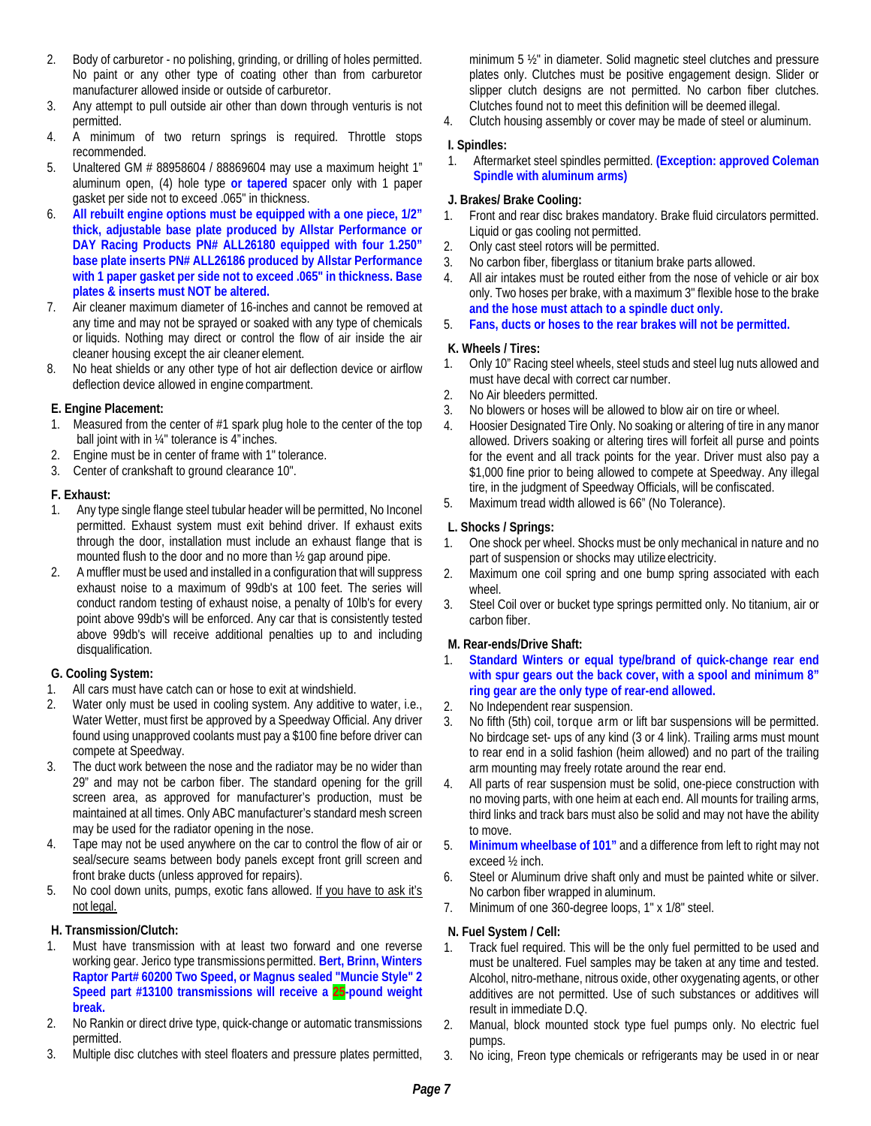- 2. Body of carburetor no polishing, grinding, or drilling of holes permitted. No paint or any other type of coating other than from carburetor manufacturer allowed inside or outside of carburetor.
- 3. Any attempt to pull outside air other than down through venturis is not permitted.
- 4. A minimum of two return springs is required. Throttle stops recommended.
- 5. Unaltered GM # 88958604 / 88869604 may use a maximum height 1" aluminum open, (4) hole type **or tapered** spacer only with 1 paper gasket per side not to exceed .065" in thickness.
- 6. **All rebuilt engine options must be equipped with a one piece, 1/2" thick, adjustable base plate produced by Allstar Performance or DAY Racing Products PN# ALL26180 equipped with four 1.250" base plate inserts PN# ALL26186 produced by Allstar Performance with 1 paper gasket per side not to exceed .065" in thickness. Base plates & inserts must NOT be altered.**
- 7. Air cleaner maximum diameter of 16-inches and cannot be removed at any time and may not be sprayed or soaked with any type of chemicals or liquids. Nothing may direct or control the flow of air inside the air cleaner housing except the air cleaner element.
- 8. No heat shields or any other type of hot air deflection device or airflow deflection device allowed in engine compartment.

#### **E. Engine Placement:**

- Measured from the center of  $#1$  spark plug hole to the center of the top ball joint with in ¼" tolerance is 4" inches.
- 2. Engine must be in center of frame with 1" tolerance.
- 3. Center of crankshaft to ground clearance 10".

#### **F. Exhaust:**

- 1. Any type single flange steel tubular header will be permitted, No Inconel permitted. Exhaust system must exit behind driver. If exhaust exits through the door, installation must include an exhaust flange that is mounted flush to the door and no more than ½ gap around pipe.
- 2. A muffler must be used and installed in a configuration that will suppress exhaust noise to a maximum of 99db's at 100 feet. The series will conduct random testing of exhaust noise, a penalty of 10lb's for every point above 99db's will be enforced. Any car that is consistently tested above 99db's will receive additional penalties up to and including disqualification.

# **G. Cooling System:**

- 1. All cars must have catch can or hose to exit at windshield.
- 2. Water only must be used in cooling system. Any additive to water, i.e., Water Wetter, must first be approved by a Speedway Official. Any driver found using unapproved coolants must pay a \$100 fine before driver can compete at Speedway.
- 3. The duct work between the nose and the radiator may be no wider than 29" and may not be carbon fiber. The standard opening for the grill screen area, as approved for manufacturer's production, must be maintained at all times. Only ABC manufacturer's standard mesh screen may be used for the radiator opening in the nose.
- Tape may not be used anywhere on the car to control the flow of air or seal/secure seams between body panels except front grill screen and front brake ducts (unless approved for repairs).
- 5. No cool down units, pumps, exotic fans allowed. If you have to ask it's not legal.

# **H. Transmission/Clutch:**

- 1. Must have transmission with at least two forward and one reverse working gear. Jerico type transmissions permitted. **Bert, Brinn, Winters Raptor Part# 60200 Two Speed, or Magnus sealed "Muncie Style" 2 Speed part #13100 transmissions will receive a 25-pound weight break.**
- 2. No Rankin or direct drive type, quick-change or automatic transmissions permitted.
- 3. Multiple disc clutches with steel floaters and pressure plates permitted,

minimum 5 ½" in diameter. Solid magnetic steel clutches and pressure plates only. Clutches must be positive engagement design. Slider or slipper clutch designs are not permitted. No carbon fiber clutches. Clutches found not to meet this definition will be deemed illegal.

4. Clutch housing assembly or cover may be made of steel or aluminum.

#### **I. Spindles:**

1. Aftermarket steel spindles permitted. **(Exception: approved Coleman Spindle with aluminum arms)** 

#### **J. Brakes/ Brake Cooling:**

- 1. Front and rear disc brakes mandatory. Brake fluid circulators permitted. Liquid or gas cooling not permitted.
- 2. Only cast steel rotors will be permitted.
- 3. No carbon fiber, fiberglass or titanium brake parts allowed.
- 4. All air intakes must be routed either from the nose of vehicle or air box only. Two hoses per brake, with a maximum 3" flexible hose to the brake **and the hose must attach to a spindle duct only.**
- 5. **Fans, ducts or hoses to the rear brakes will not be permitted.**

#### **K. Wheels / Tires:**

- 1. Only 10" Racing steel wheels, steel studs and steel lug nuts allowed and must have decal with correct car number.
- 2. No Air bleeders permitted.
- 3. No blowers or hoses will be allowed to blow air on tire or wheel.
- 4. Hoosier Designated Tire Only. No soaking or altering of tire in any manor allowed. Drivers soaking or altering tires will forfeit all purse and points for the event and all track points for the year. Driver must also pay a \$1,000 fine prior to being allowed to compete at Speedway. Any illegal tire, in the judgment of Speedway Officials, will be confiscated.
- 5. Maximum tread width allowed is 66" (No Tolerance).

# **L. Shocks / Springs:**

- 1. One shock per wheel. Shocks must be only mechanical in nature and no part of suspension or shocks may utilize electricity.
- 2. Maximum one coil spring and one bump spring associated with each wheel.
- 3. Steel Coil over or bucket type springs permitted only. No titanium, air or carbon fiber.

# **M. Rear-ends/Drive Shaft:**

- 1. **Standard Winters or equal type/brand of quick-change rear end with spur gears out the back cover, with a spool and minimum 8" ring gear are the only type of rear-end allowed.**
- 2. No Independent rear suspension.
- 3. No fifth (5th) coil, torque arm or lift bar suspensions will be permitted. No birdcage set- ups of any kind (3 or 4 link). Trailing arms must mount to rear end in a solid fashion (heim allowed) and no part of the trailing arm mounting may freely rotate around the rear end.
- 4. All parts of rear suspension must be solid, one-piece construction with no moving parts, with one heim at each end. All mounts for trailing arms, third links and track bars must also be solid and may not have the ability to move.
- 5. **Minimum wheelbase of 101"** and a difference from left to right may not exceed ½ inch.
- 6. Steel or Aluminum drive shaft only and must be painted white or silver. No carbon fiber wrapped in aluminum.
- 7. Minimum of one 360-degree loops, 1" x 1/8" steel.

# **N. Fuel System / Cell:**

- 1. Track fuel required. This will be the only fuel permitted to be used and must be unaltered. Fuel samples may be taken at any time and tested. Alcohol, nitro-methane, nitrous oxide, other oxygenating agents, or other additives are not permitted. Use of such substances or additives will result in immediate D.Q.
- 2. Manual, block mounted stock type fuel pumps only. No electric fuel pumps.
- 3. No icing, Freon type chemicals or refrigerants may be used in or near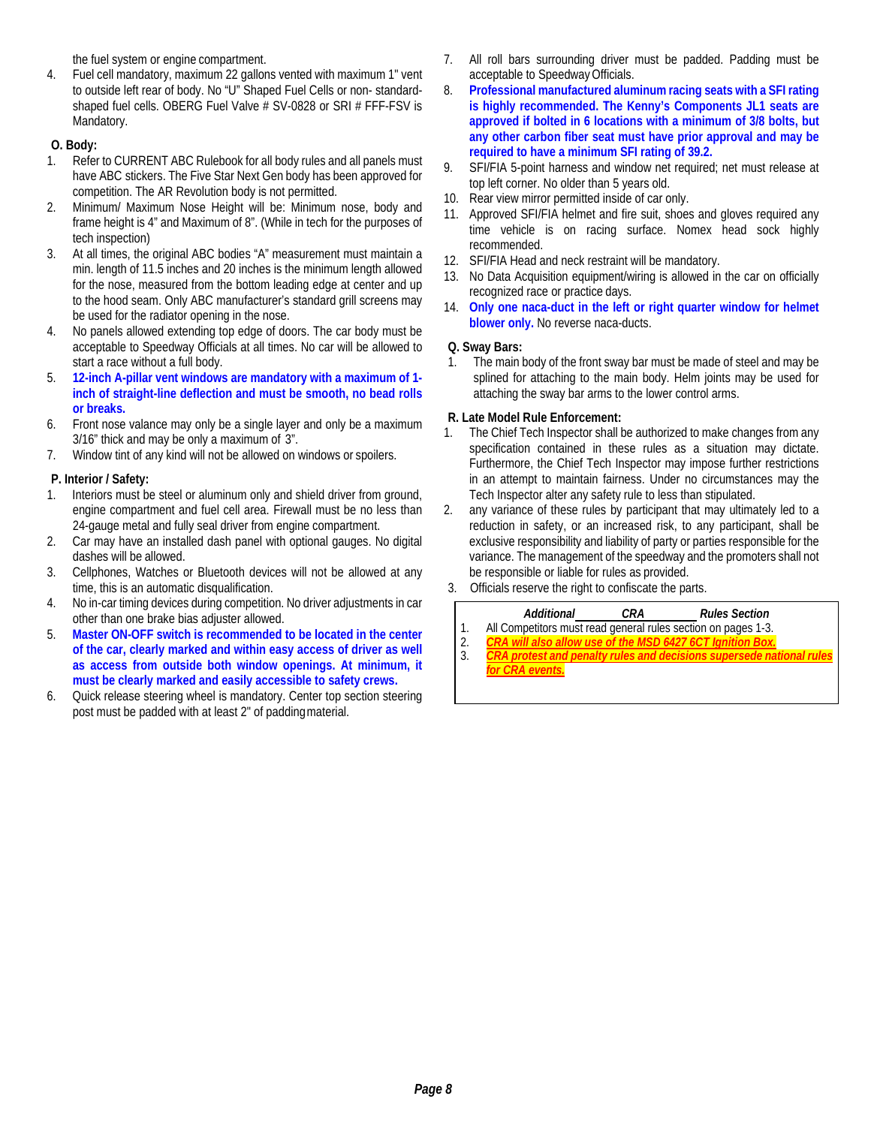the fuel system or engine compartment.

4. Fuel cell mandatory, maximum 22 gallons vented with maximum 1" vent to outside left rear of body. No "U" Shaped Fuel Cells or non- standardshaped fuel cells. OBERG Fuel Valve # SV-0828 or SRI # FFF-FSV is Mandatory.

# **O. Body:**

- 1. Refer to CURRENT ABC Rulebook for all body rules and all panels must have ABC stickers. The Five Star Next Gen body has been approved for competition. The AR Revolution body is not permitted.
- 2. Minimum/ Maximum Nose Height will be: Minimum nose, body and frame height is 4" and Maximum of 8". (While in tech for the purposes of tech inspection)
- 3. At all times, the original ABC bodies "A" measurement must maintain a min. length of 11.5 inches and 20 inches is the minimum length allowed for the nose, measured from the bottom leading edge at center and up to the hood seam. Only ABC manufacturer's standard grill screens may be used for the radiator opening in the nose.
- 4. No panels allowed extending top edge of doors. The car body must be acceptable to Speedway Officials at all times. No car will be allowed to start a race without a full body.
- 5. **12-inch A-pillar vent windows are mandatory with a maximum of 1 inch of straight-line deflection and must be smooth, no bead rolls or breaks.**
- 6. Front nose valance may only be a single layer and only be a maximum 3/16" thick and may be only a maximum of 3".
- 7. Window tint of any kind will not be allowed on windows or spoilers.

# **P. Interior / Safety:**

- 1. Interiors must be steel or aluminum only and shield driver from ground, engine compartment and fuel cell area. Firewall must be no less than 24-gauge metal and fully seal driver from engine compartment.
- 2. Car may have an installed dash panel with optional gauges. No digital dashes will be allowed.
- 3. Cellphones, Watches or Bluetooth devices will not be allowed at any time, this is an automatic disqualification.
- 4. No in-car timing devices during competition. No driver adjustments in car other than one brake bias adjuster allowed.
- 5. **Master ON-OFF switch is recommended to be located in the center of the car, clearly marked and within easy access of driver as well as access from outside both window openings. At minimum, it must be clearly marked and easily accessible to safety crews.**
- 6. Quick release steering wheel is mandatory. Center top section steering post must be padded with at least 2" of padding material.
- 7. All roll bars surrounding driver must be padded. Padding must be acceptable to Speedway Officials.
- 8. **Professional manufactured aluminum racing seats with a SFI rating is highly recommended. The Kenny's Components JL1 seats are approved if bolted in 6 locations with a minimum of 3/8 bolts, but any other carbon fiber seat must have prior approval and may be required to have a minimum SFI rating of 39.2.**
- 9. SFI/FIA 5-point harness and window net required; net must release at top left corner. No older than 5 years old.
- 10. Rear view mirror permitted inside of car only.
- 11. Approved SFI/FIA helmet and fire suit, shoes and gloves required any time vehicle is on racing surface. Nomex head sock highly recommended.
- 12. SFI/FIA Head and neck restraint will be mandatory.
- 13. No Data Acquisition equipment/wiring is allowed in the car on officially recognized race or practice days.
- 14. **Only one naca-duct in the left or right quarter window for helmet blower only.** No reverse naca-ducts.

#### **Q. Sway Bars:**

1. The main body of the front sway bar must be made of steel and may be splined for attaching to the main body. Helm joints may be used for attaching the sway bar arms to the lower control arms.

# **R. Late Model Rule Enforcement:**

- 1. The Chief Tech Inspector shall be authorized to make changes from any specification contained in these rules as a situation may dictate. Furthermore, the Chief Tech Inspector may impose further restrictions in an attempt to maintain fairness. Under no circumstances may the Tech Inspector alter any safety rule to less than stipulated.
- 2. any variance of these rules by participant that may ultimately led to a reduction in safety, or an increased risk, to any participant, shall be exclusive responsibility and liability of party or parties responsible for the variance. The management of the speedway and the promoters shall not be responsible or liable for rules as provided.
- 3. Officials reserve the right to confiscate the parts.

| Additional                                                       | CRA | <b>Rules Section</b> |
|------------------------------------------------------------------|-----|----------------------|
| All Competitors must read general rules section on pages 1-3.    |     |                      |
| <b>CRA</b> will also allow use of the MSD 6427 6CT lanition Box. |     |                      |

3. *CRA protest and penalty rules and decisions supersede national rules for CRA events.*